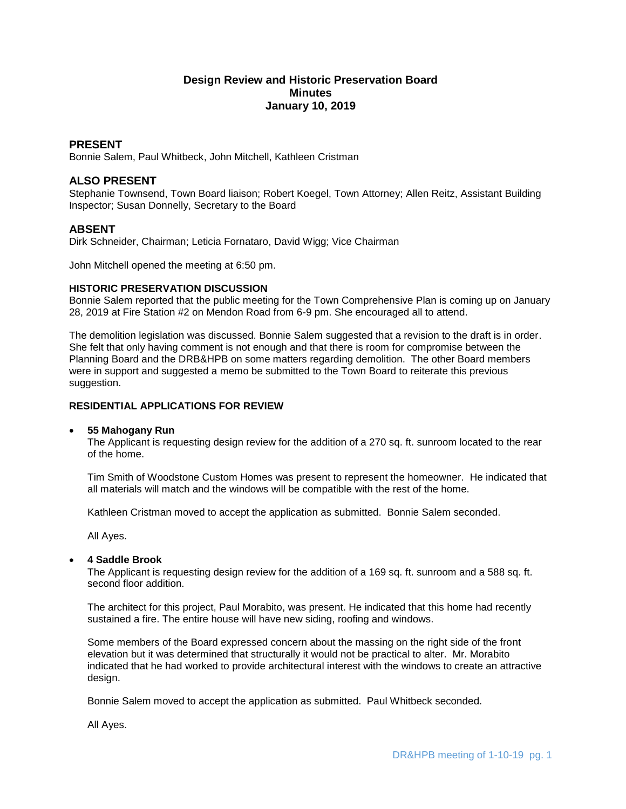# **Design Review and Historic Preservation Board Minutes January 10, 2019**

## **PRESENT**

Bonnie Salem, Paul Whitbeck, John Mitchell, Kathleen Cristman

## **ALSO PRESENT**

Stephanie Townsend, Town Board liaison; Robert Koegel, Town Attorney; Allen Reitz, Assistant Building Inspector; Susan Donnelly, Secretary to the Board

## **ABSENT**

Dirk Schneider, Chairman; Leticia Fornataro, David Wigg; Vice Chairman

John Mitchell opened the meeting at 6:50 pm.

#### **HISTORIC PRESERVATION DISCUSSION**

Bonnie Salem reported that the public meeting for the Town Comprehensive Plan is coming up on January 28, 2019 at Fire Station #2 on Mendon Road from 6-9 pm. She encouraged all to attend.

The demolition legislation was discussed. Bonnie Salem suggested that a revision to the draft is in order. She felt that only having comment is not enough and that there is room for compromise between the Planning Board and the DRB&HPB on some matters regarding demolition. The other Board members were in support and suggested a memo be submitted to the Town Board to reiterate this previous suggestion.

## **RESIDENTIAL APPLICATIONS FOR REVIEW**

### **55 Mahogany Run**

The Applicant is requesting design review for the addition of a 270 sq. ft. sunroom located to the rear of the home.

Tim Smith of Woodstone Custom Homes was present to represent the homeowner. He indicated that all materials will match and the windows will be compatible with the rest of the home.

Kathleen Cristman moved to accept the application as submitted. Bonnie Salem seconded.

All Ayes.

### **4 Saddle Brook**

The Applicant is requesting design review for the addition of a 169 sq. ft. sunroom and a 588 sq. ft. second floor addition

The architect for this project, Paul Morabito, was present. He indicated that this home had recently sustained a fire. The entire house will have new siding, roofing and windows.

Some members of the Board expressed concern about the massing on the right side of the front elevation but it was determined that structurally it would not be practical to alter. Mr. Morabito indicated that he had worked to provide architectural interest with the windows to create an attractive design.

Bonnie Salem moved to accept the application as submitted. Paul Whitbeck seconded.

All Ayes.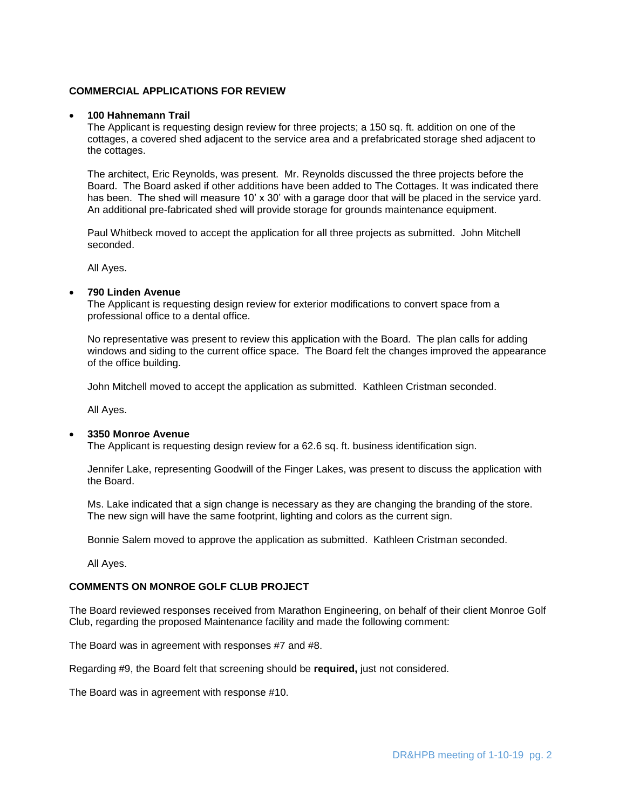### **COMMERCIAL APPLICATIONS FOR REVIEW**

#### **100 Hahnemann Trail**

The Applicant is requesting design review for three projects; a 150 sq. ft. addition on one of the cottages, a covered shed adjacent to the service area and a prefabricated storage shed adjacent to the cottages.

The architect, Eric Reynolds, was present. Mr. Reynolds discussed the three projects before the Board. The Board asked if other additions have been added to The Cottages. It was indicated there has been. The shed will measure 10' x 30' with a garage door that will be placed in the service yard. An additional pre-fabricated shed will provide storage for grounds maintenance equipment.

Paul Whitbeck moved to accept the application for all three projects as submitted. John Mitchell seconded.

All Ayes.

## **790 Linden Avenue**

The Applicant is requesting design review for exterior modifications to convert space from a professional office to a dental office.

No representative was present to review this application with the Board. The plan calls for adding windows and siding to the current office space. The Board felt the changes improved the appearance of the office building.

John Mitchell moved to accept the application as submitted. Kathleen Cristman seconded.

All Ayes.

#### **3350 Monroe Avenue**

The Applicant is requesting design review for a 62.6 sq. ft. business identification sign.

Jennifer Lake, representing Goodwill of the Finger Lakes, was present to discuss the application with the Board.

Ms. Lake indicated that a sign change is necessary as they are changing the branding of the store. The new sign will have the same footprint, lighting and colors as the current sign.

Bonnie Salem moved to approve the application as submitted. Kathleen Cristman seconded.

All Ayes.

### **COMMENTS ON MONROE GOLF CLUB PROJECT**

The Board reviewed responses received from Marathon Engineering, on behalf of their client Monroe Golf Club, regarding the proposed Maintenance facility and made the following comment:

The Board was in agreement with responses #7 and #8.

Regarding #9, the Board felt that screening should be **required,** just not considered.

The Board was in agreement with response #10.